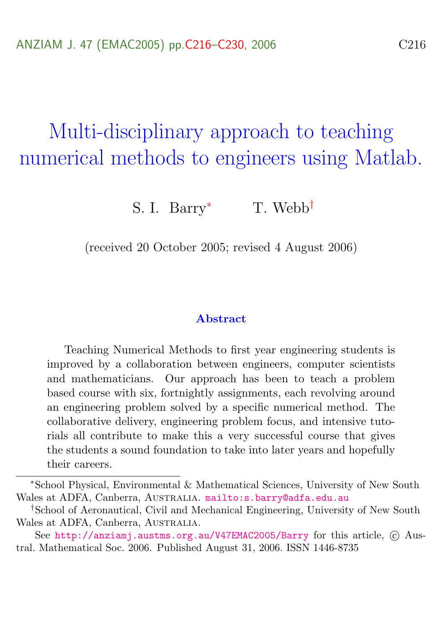# <span id="page-0-0"></span>Multi-disciplinary approach to teaching numerical methods to engineers using Matlab.

S. I. Barry<sup>\*</sup> T. Webb<sup>†</sup>

(received 20 October 2005; revised 4 August 2006)

#### Abstract

Teaching Numerical Methods to first year engineering students is improved by a collaboration between engineers, computer scientists and mathematicians. Our approach has been to teach a problem based course with six, fortnightly assignments, each revolving around an engineering problem solved by a specific numerical method. The collaborative delivery, engineering problem focus, and intensive tutorials all contribute to make this a very successful course that gives the students a sound foundation to take into later years and hopefully their careers.

<sup>∗</sup>School Physical, Environmental & Mathematical Sciences, University of New South Wales at ADFA, Canberra, AUSTRALIA. <mailto:s.barry@adfa.edu.au>

<sup>†</sup>School of Aeronautical, Civil and Mechanical Engineering, University of New South Wales at ADFA, Canberra, AUSTRALIA.

See <http://anziamj.austms.org.au/V47EMAC2005/Barry> for this article, © Austral. Mathematical Soc. 2006. Published August 31, 2006. ISSN 1446-8735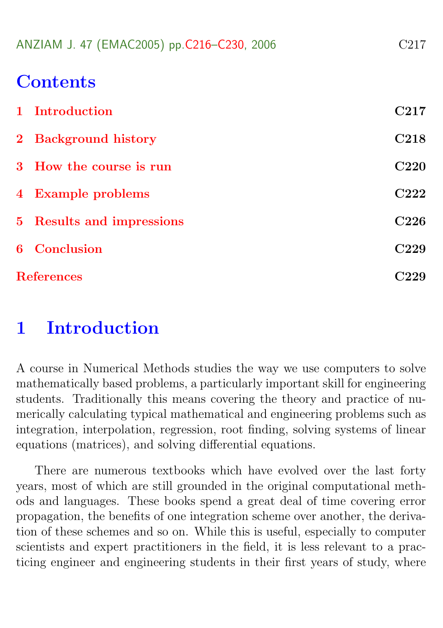|  |  | ANZIAM J. 47 (EMAC2005) pp.C216-C230, 2006 |  | C <sub>217</sub> |
|--|--|--------------------------------------------|--|------------------|
|--|--|--------------------------------------------|--|------------------|

# **Contents**

| 1 Introduction            | C <sub>217</sub> |
|---------------------------|------------------|
| 2 Background history      | C <sub>218</sub> |
| 3 How the course is run   | <b>C220</b>      |
| 4 Example problems        | C222             |
| 5 Results and impressions | C <sub>226</sub> |
| <b>6</b> Conclusion       | C <sub>229</sub> |
| <b>References</b>         |                  |

# <span id="page-1-0"></span>1 Introduction

A course in Numerical Methods studies the way we use computers to solve mathematically based problems, a particularly important skill for engineering students. Traditionally this means covering the theory and practice of numerically calculating typical mathematical and engineering problems such as integration, interpolation, regression, root finding, solving systems of linear equations (matrices), and solving differential equations.

There are numerous textbooks which have evolved over the last forty years, most of which are still grounded in the original computational methods and languages. These books spend a great deal of time covering error propagation, the benefits of one integration scheme over another, the derivation of these schemes and so on. While this is useful, especially to computer scientists and expert practitioners in the field, it is less relevant to a practicing engineer and engineering students in their first years of study, where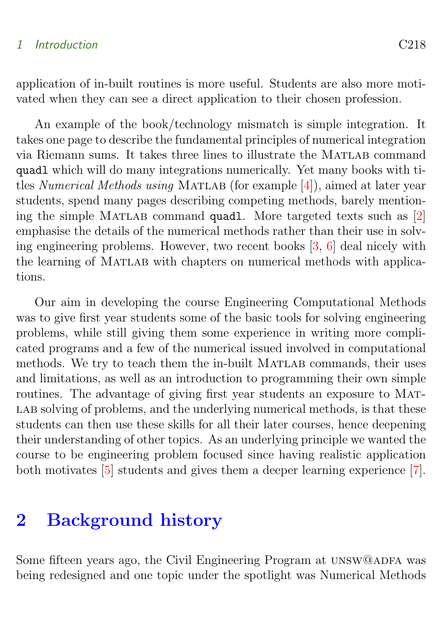#### <span id="page-2-1"></span>1 Introduction C218

application of in-built routines is more useful. Students are also more motivated when they can see a direct application to their chosen profession.

An example of the book/technology mismatch is simple integration. It takes one page to describe the fundamental principles of numerical integration via Riemann sums. It takes three lines to illustrate the MATLAB command quadl which will do many integrations numerically. Yet many books with titles Numerical Methods using MATLAB (for example  $[4]$ ), aimed at later year students, spend many pages describing competing methods, barely mentioning the simple Matlab command quadl. More targeted texts such as [\[2\]](#page-13-2) emphasise the details of the numerical methods rather than their use in solving engineering problems. However, two recent books [\[3,](#page-13-3) [6\]](#page-14-0) deal nicely with the learning of MATLAB with chapters on numerical methods with applications.

Our aim in developing the course Engineering Computational Methods was to give first year students some of the basic tools for solving engineering problems, while still giving them some experience in writing more complicated programs and a few of the numerical issued involved in computational methods. We try to teach them the in-built MATLAB commands, their uses and limitations, as well as an introduction to programming their own simple routines. The advantage of giving first year students an exposure to MAT-LAB solving of problems, and the underlying numerical methods, is that these students can then use these skills for all their later courses, hence deepening their understanding of other topics. As an underlying principle we wanted the course to be engineering problem focused since having realistic application both motivates [\[5\]](#page-14-1) students and gives them a deeper learning experience [\[7\]](#page-14-2).

# <span id="page-2-0"></span>2 Background history

Some fifteen years ago, the Civil Engineering Program at UNSW@ADFA was being redesigned and one topic under the spotlight was Numerical Methods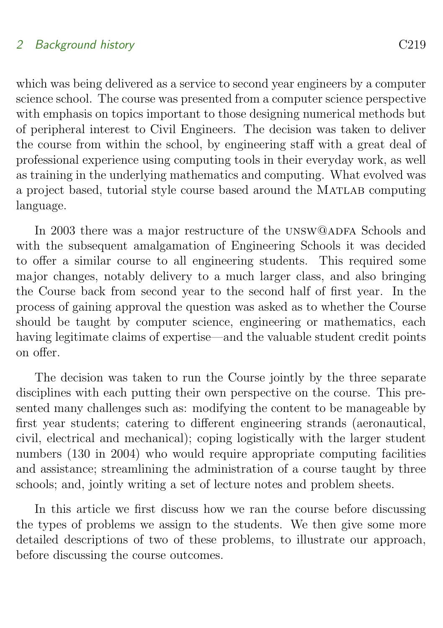### 2 Background history C<sub>219</sub>

which was being delivered as a service to second year engineers by a computer science school. The course was presented from a computer science perspective with emphasis on topics important to those designing numerical methods but of peripheral interest to Civil Engineers. The decision was taken to deliver the course from within the school, by engineering staff with a great deal of professional experience using computing tools in their everyday work, as well as training in the underlying mathematics and computing. What evolved was a project based, tutorial style course based around the Matlab computing language.

In 2003 there was a major restructure of the UNSW@ADFA Schools and with the subsequent amalgamation of Engineering Schools it was decided to offer a similar course to all engineering students. This required some major changes, notably delivery to a much larger class, and also bringing the Course back from second year to the second half of first year. In the process of gaining approval the question was asked as to whether the Course should be taught by computer science, engineering or mathematics, each having legitimate claims of expertise—and the valuable student credit points on offer.

The decision was taken to run the Course jointly by the three separate disciplines with each putting their own perspective on the course. This presented many challenges such as: modifying the content to be manageable by first year students; catering to different engineering strands (aeronautical, civil, electrical and mechanical); coping logistically with the larger student numbers (130 in 2004) who would require appropriate computing facilities and assistance; streamlining the administration of a course taught by three schools; and, jointly writing a set of lecture notes and problem sheets.

<span id="page-3-0"></span>In this article we first discuss how we ran the course before discussing the types of problems we assign to the students. We then give some more detailed descriptions of two of these problems, to illustrate our approach, before discussing the course outcomes.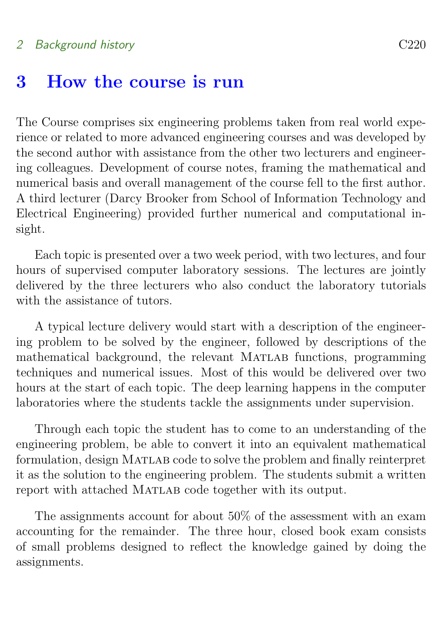#### 2 Background history C220

### 3 How the course is run

The Course comprises six engineering problems taken from real world experience or related to more advanced engineering courses and was developed by the second author with assistance from the other two lecturers and engineering colleagues. Development of course notes, framing the mathematical and numerical basis and overall management of the course fell to the first author. A third lecturer (Darcy Brooker from School of Information Technology and Electrical Engineering) provided further numerical and computational insight.

Each topic is presented over a two week period, with two lectures, and four hours of supervised computer laboratory sessions. The lectures are jointly delivered by the three lecturers who also conduct the laboratory tutorials with the assistance of tutors.

A typical lecture delivery would start with a description of the engineering problem to be solved by the engineer, followed by descriptions of the mathematical background, the relevant MATLAB functions, programming techniques and numerical issues. Most of this would be delivered over two hours at the start of each topic. The deep learning happens in the computer laboratories where the students tackle the assignments under supervision.

Through each topic the student has to come to an understanding of the engineering problem, be able to convert it into an equivalent mathematical formulation, design Matlab code to solve the problem and finally reinterpret it as the solution to the engineering problem. The students submit a written report with attached MATLAB code together with its output.

The assignments account for about 50% of the assessment with an exam accounting for the remainder. The three hour, closed book exam consists of small problems designed to reflect the knowledge gained by doing the assignments.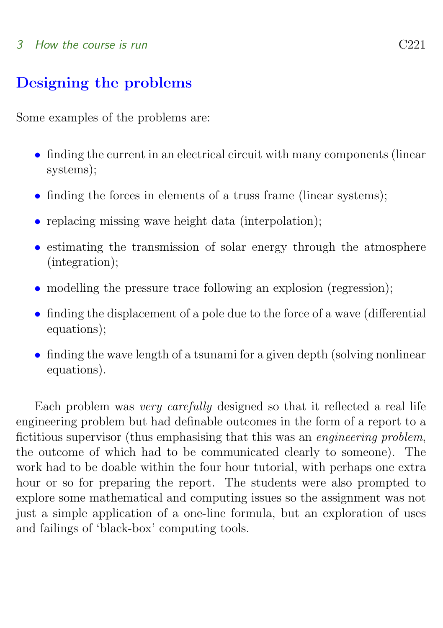#### 3 How the course is run C221

### Designing the problems

Some examples of the problems are:

- finding the current in an electrical circuit with many components (linear systems);
- finding the forces in elements of a truss frame (linear systems);
- replacing missing wave height data (interpolation);
- estimating the transmission of solar energy through the atmosphere (integration);
- modelling the pressure trace following an explosion (regression);
- finding the displacement of a pole due to the force of a wave (differential equations);
- finding the wave length of a tsunami for a given depth (solving nonlinear equations).

Each problem was very carefully designed so that it reflected a real life engineering problem but had definable outcomes in the form of a report to a fictitious supervisor (thus emphasising that this was an engineering problem, the outcome of which had to be communicated clearly to someone). The work had to be doable within the four hour tutorial, with perhaps one extra hour or so for preparing the report. The students were also prompted to explore some mathematical and computing issues so the assignment was not just a simple application of a one-line formula, but an exploration of uses and failings of 'black-box' computing tools.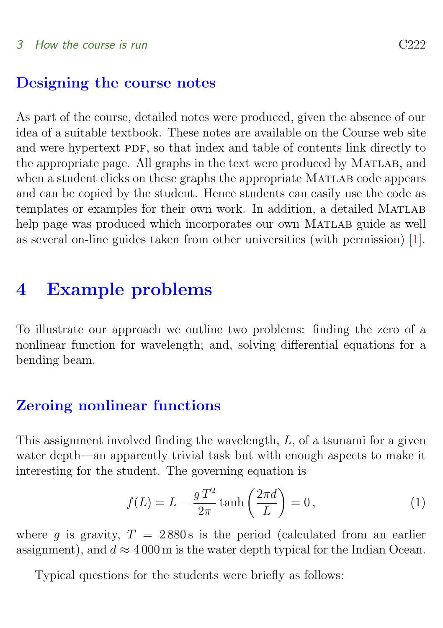### <span id="page-6-1"></span>Designing the course notes

As part of the course, detailed notes were produced, given the absence of our idea of a suitable textbook. These notes are available on the Course web site and were hypertext PDF, so that index and table of contents link directly to the appropriate page. All graphs in the text were produced by Matlab, and when a student clicks on these graphs the appropriate MATLAB code appears and can be copied by the student. Hence students can easily use the code as templates or examples for their own work. In addition, a detailed MATLAB help page was produced which incorporates our own MATLAB guide as well as several on-line guides taken from other universities (with permission) [\[1\]](#page-13-4).

# <span id="page-6-0"></span>4 Example problems

To illustrate our approach we outline two problems: finding the zero of a nonlinear function for wavelength; and, solving differential equations for a bending beam.

### Zeroing nonlinear functions

This assignment involved finding the wavelength, L, of a tsunami for a given water depth—an apparently trivial task but with enough aspects to make it interesting for the student. The governing equation is

$$
f(L) = L - \frac{gT^2}{2\pi} \tanh\left(\frac{2\pi d}{L}\right) = 0,
$$
\n(1)

where q is gravity,  $T = 2880$  s is the period (calculated from an earlier assignment), and  $d \approx 4000$  m is the water depth typical for the Indian Ocean.

Typical questions for the students were briefly as follows: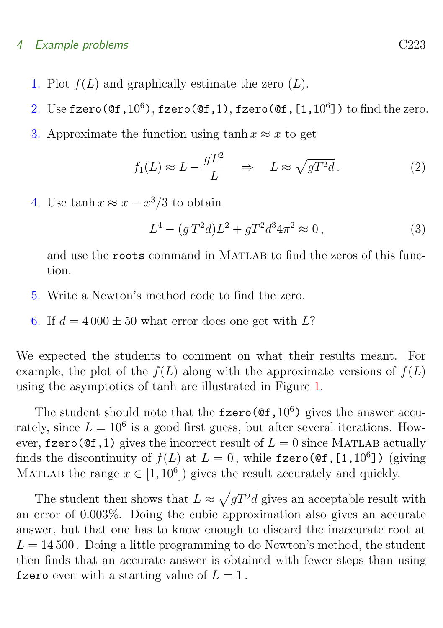#### 4 Example problems C223

- 1. Plot  $f(L)$  and graphically estimate the zero  $(L)$ .
- 2. Use fzero( $\mathfrak{C}(f,10^6)$ , fzero( $\mathfrak{C}(f,1)$ , fzero( $\mathfrak{C}(f,[1,10^6])$ ) to find the zero.
- 3. Approximate the function using tanh  $x \approx x$  to get

$$
f_1(L) \approx L - \frac{gT^2}{L} \quad \Rightarrow \quad L \approx \sqrt{gT^2d} \,. \tag{2}
$$

4. Use  $\tanh x \approx x - x^3/3$  to obtain

$$
L^4 - (g T^2 d) L^2 + g T^2 d^3 4\pi^2 \approx 0, \qquad (3)
$$

and use the **roots** command in MATLAB to find the zeros of this function.

- 5. Write a Newton's method code to find the zero.
- 6. If  $d = 4000 \pm 50$  what error does one get with L?

We expected the students to comment on what their results meant. For example, the plot of the  $f(L)$  along with the approximate versions of  $f(L)$ using the asymptotics of tanh are illustrated in Figure [1.](#page-8-0)

The student should note that the  $fzero(\mathcal{C}_1, 10^6)$  gives the answer accurately, since  $L = 10^6$  is a good first guess, but after several iterations. However, fzero( $\mathcal{C}(f,1)$ ) gives the incorrect result of  $L = 0$  since MATLAB actually finds the discontinuity of  $f(L)$  at  $L = 0$ , while fzero(@f,[1,10<sup>6</sup>]) (giving MATLAB the range  $x \in [1, 10^6]$  gives the result accurately and quickly.

The student then shows that  $L \approx \sqrt{gT^2d}$  gives an acceptable result with an error of 0.003%. Doing the cubic approximation also gives an accurate answer, but that one has to know enough to discard the inaccurate root at  $L = 14500$ . Doing a little programming to do Newton's method, the student then finds that an accurate answer is obtained with fewer steps than using fzero even with a starting value of  $L = 1$ .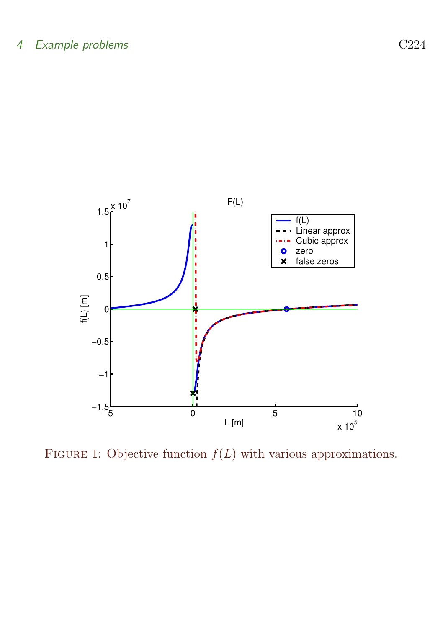

<span id="page-8-0"></span>FIGURE 1: Objective function  $f(L)$  with various approximations.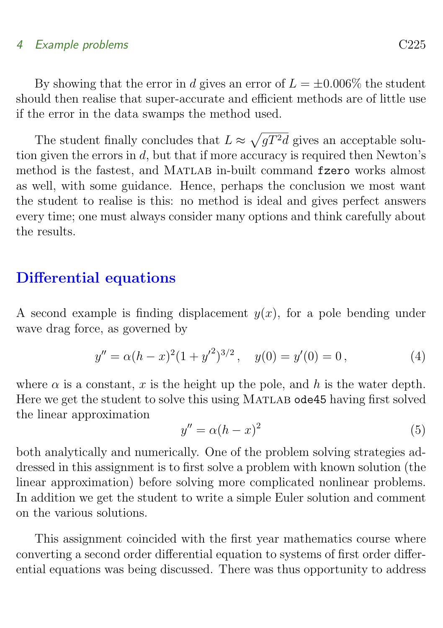#### 4 Example problems C225

By showing that the error in d gives an error of  $L = \pm 0.006\%$  the student should then realise that super-accurate and efficient methods are of little use if the error in the data swamps the method used.

The student finally concludes that  $L \approx \sqrt{gT^2d}$  gives an acceptable solution given the errors in  $d$ , but that if more accuracy is required then Newton's method is the fastest, and MATLAB in-built command fzero works almost as well, with some guidance. Hence, perhaps the conclusion we most want the student to realise is this: no method is ideal and gives perfect answers every time; one must always consider many options and think carefully about the results.

### Differential equations

A second example is finding displacement  $y(x)$ , for a pole bending under wave drag force, as governed by

$$
y'' = \alpha (h - x)^2 (1 + y'^2)^{3/2}, \quad y(0) = y'(0) = 0,
$$
 (4)

where  $\alpha$  is a constant, x is the height up the pole, and h is the water depth. Here we get the student to solve this using MATLAB ode45 having first solved the linear approximation

$$
y'' = \alpha (h - x)^2 \tag{5}
$$

both analytically and numerically. One of the problem solving strategies addressed in this assignment is to first solve a problem with known solution (the linear approximation) before solving more complicated nonlinear problems. In addition we get the student to write a simple Euler solution and comment on the various solutions.

This assignment coincided with the first year mathematics course where converting a second order differential equation to systems of first order differential equations was being discussed. There was thus opportunity to address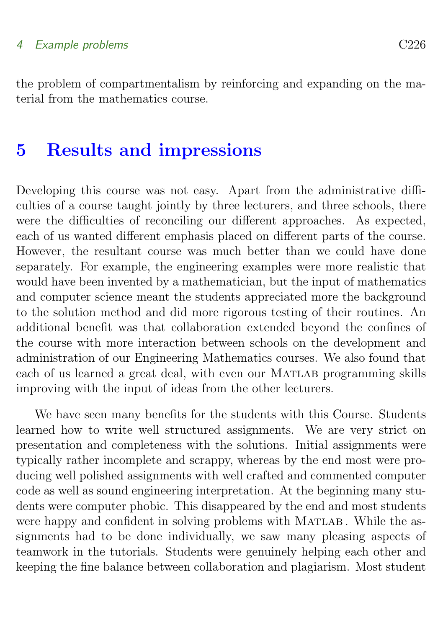#### 4 Example problems C226

the problem of compartmentalism by reinforcing and expanding on the material from the mathematics course.

## <span id="page-10-0"></span>5 Results and impressions

Developing this course was not easy. Apart from the administrative difficulties of a course taught jointly by three lecturers, and three schools, there were the difficulties of reconciling our different approaches. As expected, each of us wanted different emphasis placed on different parts of the course. However, the resultant course was much better than we could have done separately. For example, the engineering examples were more realistic that would have been invented by a mathematician, but the input of mathematics and computer science meant the students appreciated more the background to the solution method and did more rigorous testing of their routines. An additional benefit was that collaboration extended beyond the confines of the course with more interaction between schools on the development and administration of our Engineering Mathematics courses. We also found that each of us learned a great deal, with even our MATLAB programming skills improving with the input of ideas from the other lecturers.

We have seen many benefits for the students with this Course. Students learned how to write well structured assignments. We are very strict on presentation and completeness with the solutions. Initial assignments were typically rather incomplete and scrappy, whereas by the end most were producing well polished assignments with well crafted and commented computer code as well as sound engineering interpretation. At the beginning many students were computer phobic. This disappeared by the end and most students were happy and confident in solving problems with MATLAB. While the assignments had to be done individually, we saw many pleasing aspects of teamwork in the tutorials. Students were genuinely helping each other and keeping the fine balance between collaboration and plagiarism. Most student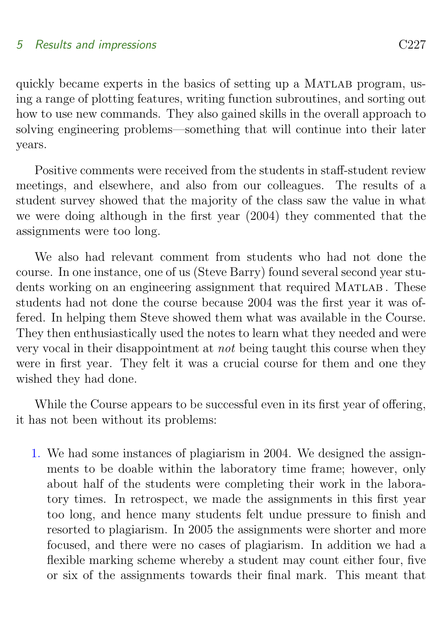### 5 Results and impressions C227

quickly became experts in the basics of setting up a MATLAB program, using a range of plotting features, writing function subroutines, and sorting out how to use new commands. They also gained skills in the overall approach to solving engineering problems—something that will continue into their later years.

Positive comments were received from the students in staff-student review meetings, and elsewhere, and also from our colleagues. The results of a student survey showed that the majority of the class saw the value in what we were doing although in the first year (2004) they commented that the assignments were too long.

We also had relevant comment from students who had not done the course. In one instance, one of us (Steve Barry) found several second year students working on an engineering assignment that required MATLAB. These students had not done the course because 2004 was the first year it was offered. In helping them Steve showed them what was available in the Course. They then enthusiastically used the notes to learn what they needed and were very vocal in their disappointment at not being taught this course when they were in first year. They felt it was a crucial course for them and one they wished they had done.

While the Course appears to be successful even in its first year of offering, it has not been without its problems:

1. We had some instances of plagiarism in 2004. We designed the assignments to be doable within the laboratory time frame; however, only about half of the students were completing their work in the laboratory times. In retrospect, we made the assignments in this first year too long, and hence many students felt undue pressure to finish and resorted to plagiarism. In 2005 the assignments were shorter and more focused, and there were no cases of plagiarism. In addition we had a flexible marking scheme whereby a student may count either four, five or six of the assignments towards their final mark. This meant that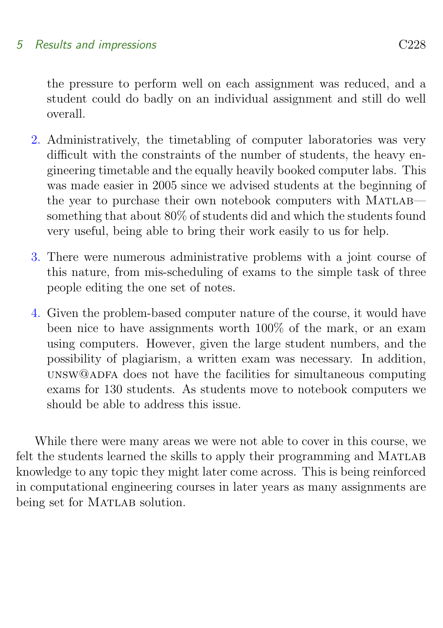### 5 Results and impressions C228

the pressure to perform well on each assignment was reduced, and a student could do badly on an individual assignment and still do well overall.

- 2. Administratively, the timetabling of computer laboratories was very difficult with the constraints of the number of students, the heavy engineering timetable and the equally heavily booked computer labs. This was made easier in 2005 since we advised students at the beginning of the year to purchase their own notebook computers with MATLAB something that about 80% of students did and which the students found very useful, being able to bring their work easily to us for help.
- 3. There were numerous administrative problems with a joint course of this nature, from mis-scheduling of exams to the simple task of three people editing the one set of notes.
- 4. Given the problem-based computer nature of the course, it would have been nice to have assignments worth 100% of the mark, or an exam using computers. However, given the large student numbers, and the possibility of plagiarism, a written exam was necessary. In addition, unsw@adfa does not have the facilities for simultaneous computing exams for 130 students. As students move to notebook computers we should be able to address this issue.

<span id="page-12-0"></span>While there were many areas we were not able to cover in this course, we felt the students learned the skills to apply their programming and MATLAB knowledge to any topic they might later come across. This is being reinforced in computational engineering courses in later years as many assignments are being set for MATLAB solution.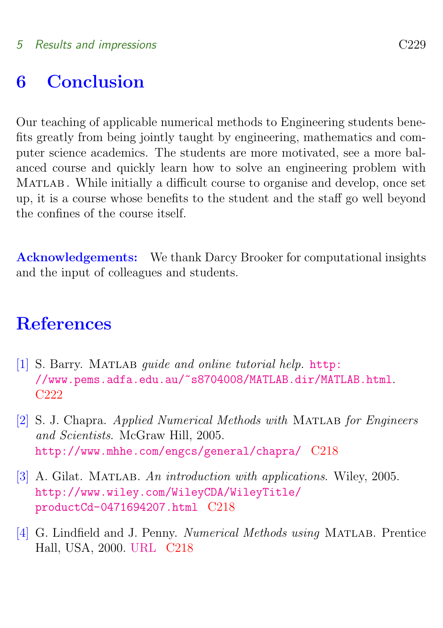# 6 Conclusion

Our teaching of applicable numerical methods to Engineering students benefits greatly from being jointly taught by engineering, mathematics and computer science academics. The students are more motivated, see a more balanced course and quickly learn how to solve an engineering problem with Matlab . While initially a difficult course to organise and develop, once set up, it is a course whose benefits to the student and the staff go well beyond the confines of the course itself.

Acknowledgements: We thank Darcy Brooker for computational insights and the input of colleagues and students.

# **References**

- <span id="page-13-4"></span><span id="page-13-0"></span>[1] S. Barry. MATLAB *quide and online tutorial help.* [http:](http://www.pems.adfa.edu.au/~s8704008/MATLAB.dir/MATLAB.html) [//www.pems.adfa.edu.au/~s8704008/MATLAB.dir/MATLAB.html](http://www.pems.adfa.edu.au/~s8704008/MATLAB.dir/MATLAB.html). [C222](#page-6-1)
- <span id="page-13-2"></span>[2] S. J. Chapra. Applied Numerical Methods with Matlab for Engineers and Scientists. McGraw Hill, 2005. <http://www.mhhe.com/engcs/general/chapra/> [C218](#page-2-1)
- <span id="page-13-3"></span>[3] A. Gilat. MATLAB. An introduction with applications. Wiley, 2005. [http://www.wiley.com/WileyCDA/WileyTitle/](http://www.wiley.com/WileyCDA/WileyTitle/productCd-0471694207.html) [productCd-0471694207.html](http://www.wiley.com/WileyCDA/WileyTitle/productCd-0471694207.html) [C218](#page-2-1)
- <span id="page-13-1"></span>[4] G. Lindfield and J. Penny. Numerical Methods using MATLAB. Prentice Hall, USA, 2000. [URL](http://www.wiley.com/WileyCDA/WileyTitle/productCd-0471694207.html) [C218](#page-2-1)